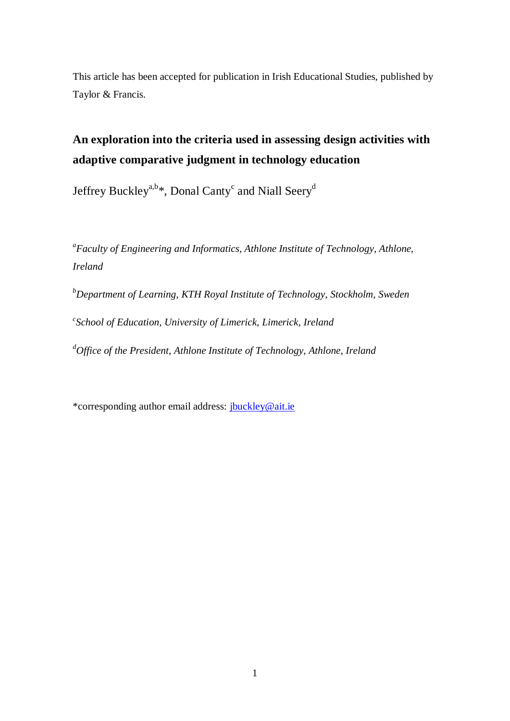This article has been accepted for publication in Irish Educational Studies, published by Taylor & Francis.

# **An exploration into the criteria used in assessing design activities with adaptive comparative judgment in technology education**

Jeffrey Buckley<sup>a,b\*</sup>, Donal Canty<sup>c</sup> and Niall Seery<sup>d</sup>

*a Faculty of Engineering and Informatics, Athlone Institute of Technology, Athlone, Ireland*

*<sup>b</sup>Department of Learning, KTH Royal Institute of Technology, Stockholm, Sweden c School of Education, University of Limerick, Limerick, Ireland <sup>d</sup>Office of the President, Athlone Institute of Technology, Athlone, Ireland*

\*corresponding author email address: [jbuckley@ait.ie](mailto:jbuckley@ait.ie)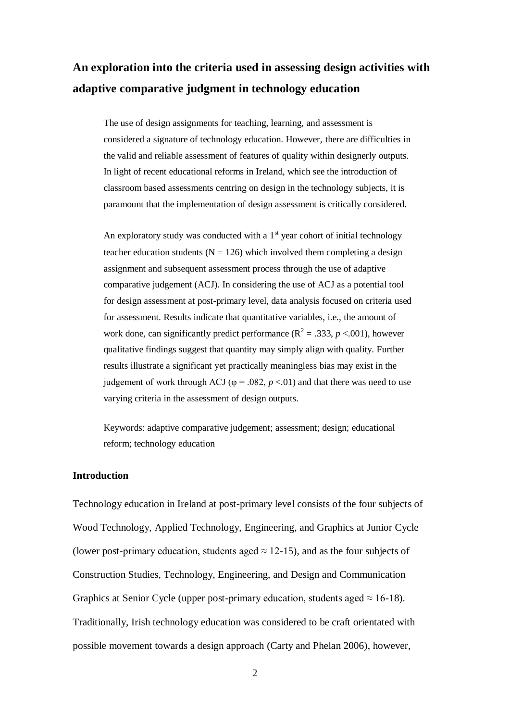## **An exploration into the criteria used in assessing design activities with adaptive comparative judgment in technology education**

The use of design assignments for teaching, learning, and assessment is considered a signature of technology education. However, there are difficulties in the valid and reliable assessment of features of quality within designerly outputs. In light of recent educational reforms in Ireland, which see the introduction of classroom based assessments centring on design in the technology subjects, it is paramount that the implementation of design assessment is critically considered.

An exploratory study was conducted with a  $1<sup>st</sup>$  year cohort of initial technology teacher education students ( $N = 126$ ) which involved them completing a design assignment and subsequent assessment process through the use of adaptive comparative judgement (ACJ). In considering the use of ACJ as a potential tool for design assessment at post-primary level, data analysis focused on criteria used for assessment. Results indicate that quantitative variables, i.e., the amount of work done, can significantly predict performance ( $\mathbb{R}^2 = .333$ ,  $p < .001$ ), however qualitative findings suggest that quantity may simply align with quality. Further results illustrate a significant yet practically meaningless bias may exist in the judgement of work through ACJ ( $\varphi$  = .082, *p* <.01) and that there was need to use varying criteria in the assessment of design outputs.

Keywords: adaptive comparative judgement; assessment; design; educational reform; technology education

## **Introduction**

Technology education in Ireland at post-primary level consists of the four subjects of Wood Technology, Applied Technology, Engineering, and Graphics at Junior Cycle (lower post-primary education, students aged  $\approx$  12-15), and as the four subjects of Construction Studies, Technology, Engineering, and Design and Communication Graphics at Senior Cycle (upper post-primary education, students aged  $\approx 16{\text -}18$ ). Traditionally, Irish technology education was considered to be craft orientated with possible movement towards a design approach (Carty and Phelan 2006), however,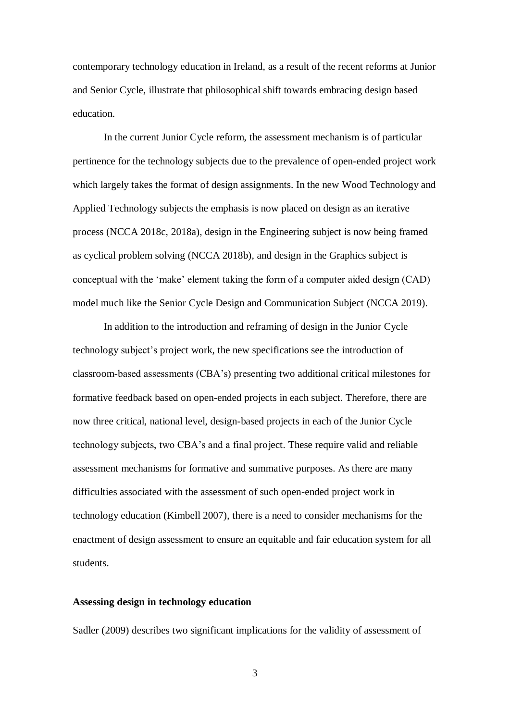contemporary technology education in Ireland, as a result of the recent reforms at Junior and Senior Cycle, illustrate that philosophical shift towards embracing design based education.

In the current Junior Cycle reform, the assessment mechanism is of particular pertinence for the technology subjects due to the prevalence of open-ended project work which largely takes the format of design assignments. In the new Wood Technology and Applied Technology subjects the emphasis is now placed on design as an iterative process (NCCA 2018c, 2018a), design in the Engineering subject is now being framed as cyclical problem solving (NCCA 2018b), and design in the Graphics subject is conceptual with the 'make' element taking the form of a computer aided design (CAD) model much like the Senior Cycle Design and Communication Subject (NCCA 2019).

In addition to the introduction and reframing of design in the Junior Cycle technology subject's project work, the new specifications see the introduction of classroom-based assessments (CBA's) presenting two additional critical milestones for formative feedback based on open-ended projects in each subject. Therefore, there are now three critical, national level, design-based projects in each of the Junior Cycle technology subjects, two CBA's and a final project. These require valid and reliable assessment mechanisms for formative and summative purposes. As there are many difficulties associated with the assessment of such open-ended project work in technology education (Kimbell 2007), there is a need to consider mechanisms for the enactment of design assessment to ensure an equitable and fair education system for all students.

#### **Assessing design in technology education**

Sadler (2009) describes two significant implications for the validity of assessment of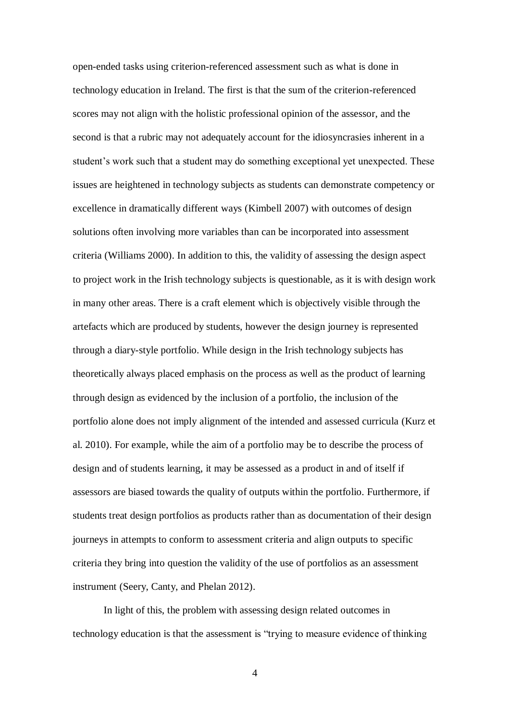open-ended tasks using criterion-referenced assessment such as what is done in technology education in Ireland. The first is that the sum of the criterion-referenced scores may not align with the holistic professional opinion of the assessor, and the second is that a rubric may not adequately account for the idiosyncrasies inherent in a student's work such that a student may do something exceptional yet unexpected. These issues are heightened in technology subjects as students can demonstrate competency or excellence in dramatically different ways (Kimbell 2007) with outcomes of design solutions often involving more variables than can be incorporated into assessment criteria (Williams 2000). In addition to this, the validity of assessing the design aspect to project work in the Irish technology subjects is questionable, as it is with design work in many other areas. There is a craft element which is objectively visible through the artefacts which are produced by students, however the design journey is represented through a diary-style portfolio. While design in the Irish technology subjects has theoretically always placed emphasis on the process as well as the product of learning through design as evidenced by the inclusion of a portfolio, the inclusion of the portfolio alone does not imply alignment of the intended and assessed curricula (Kurz et al. 2010). For example, while the aim of a portfolio may be to describe the process of design and of students learning, it may be assessed as a product in and of itself if assessors are biased towards the quality of outputs within the portfolio. Furthermore, if students treat design portfolios as products rather than as documentation of their design journeys in attempts to conform to assessment criteria and align outputs to specific criteria they bring into question the validity of the use of portfolios as an assessment instrument (Seery, Canty, and Phelan 2012).

In light of this, the problem with assessing design related outcomes in technology education is that the assessment is "trying to measure evidence of thinking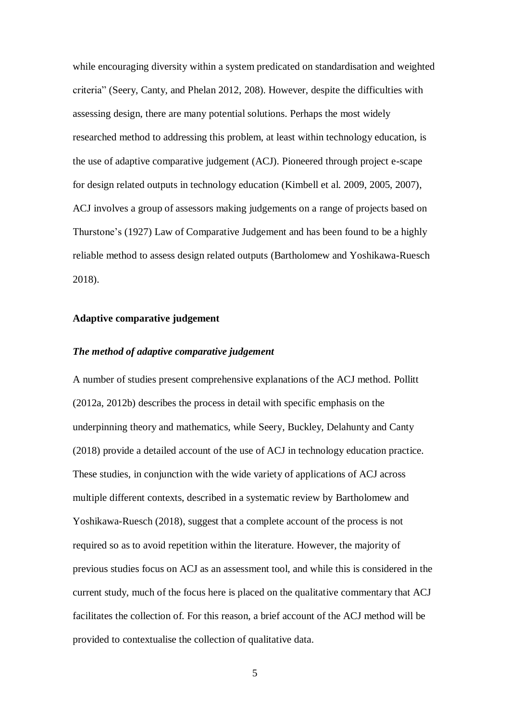while encouraging diversity within a system predicated on standardisation and weighted criteria" (Seery, Canty, and Phelan 2012, 208). However, despite the difficulties with assessing design, there are many potential solutions. Perhaps the most widely researched method to addressing this problem, at least within technology education, is the use of adaptive comparative judgement (ACJ). Pioneered through project e-scape for design related outputs in technology education (Kimbell et al. 2009, 2005, 2007), ACJ involves a group of assessors making judgements on a range of projects based on Thurstone's (1927) Law of Comparative Judgement and has been found to be a highly reliable method to assess design related outputs (Bartholomew and Yoshikawa-Ruesch 2018).

#### **Adaptive comparative judgement**

## *The method of adaptive comparative judgement*

A number of studies present comprehensive explanations of the ACJ method. Pollitt (2012a, 2012b) describes the process in detail with specific emphasis on the underpinning theory and mathematics, while Seery, Buckley, Delahunty and Canty (2018) provide a detailed account of the use of ACJ in technology education practice. These studies, in conjunction with the wide variety of applications of ACJ across multiple different contexts, described in a systematic review by Bartholomew and Yoshikawa-Ruesch (2018), suggest that a complete account of the process is not required so as to avoid repetition within the literature. However, the majority of previous studies focus on ACJ as an assessment tool, and while this is considered in the current study, much of the focus here is placed on the qualitative commentary that ACJ facilitates the collection of. For this reason, a brief account of the ACJ method will be provided to contextualise the collection of qualitative data.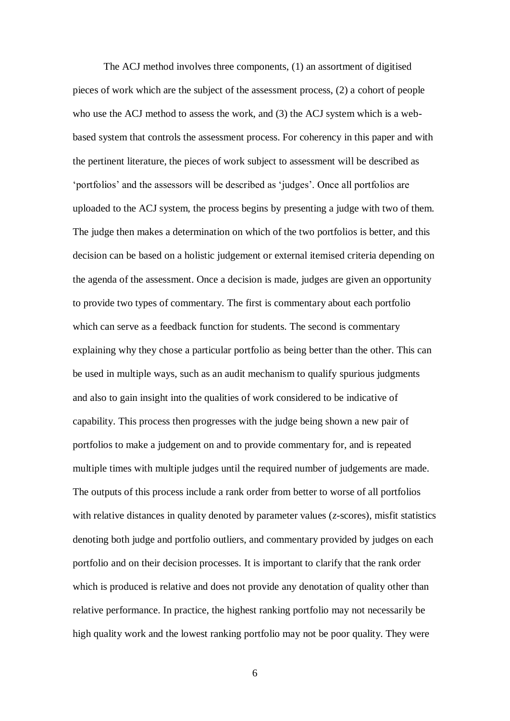The ACJ method involves three components, (1) an assortment of digitised pieces of work which are the subject of the assessment process, (2) a cohort of people who use the ACJ method to assess the work, and (3) the ACJ system which is a webbased system that controls the assessment process. For coherency in this paper and with the pertinent literature, the pieces of work subject to assessment will be described as 'portfolios' and the assessors will be described as 'judges'. Once all portfolios are uploaded to the ACJ system, the process begins by presenting a judge with two of them. The judge then makes a determination on which of the two portfolios is better, and this decision can be based on a holistic judgement or external itemised criteria depending on the agenda of the assessment. Once a decision is made, judges are given an opportunity to provide two types of commentary. The first is commentary about each portfolio which can serve as a feedback function for students. The second is commentary explaining why they chose a particular portfolio as being better than the other. This can be used in multiple ways, such as an audit mechanism to qualify spurious judgments and also to gain insight into the qualities of work considered to be indicative of capability. This process then progresses with the judge being shown a new pair of portfolios to make a judgement on and to provide commentary for, and is repeated multiple times with multiple judges until the required number of judgements are made. The outputs of this process include a rank order from better to worse of all portfolios with relative distances in quality denoted by parameter values (*z*-scores), misfit statistics denoting both judge and portfolio outliers, and commentary provided by judges on each portfolio and on their decision processes. It is important to clarify that the rank order which is produced is relative and does not provide any denotation of quality other than relative performance. In practice, the highest ranking portfolio may not necessarily be high quality work and the lowest ranking portfolio may not be poor quality. They were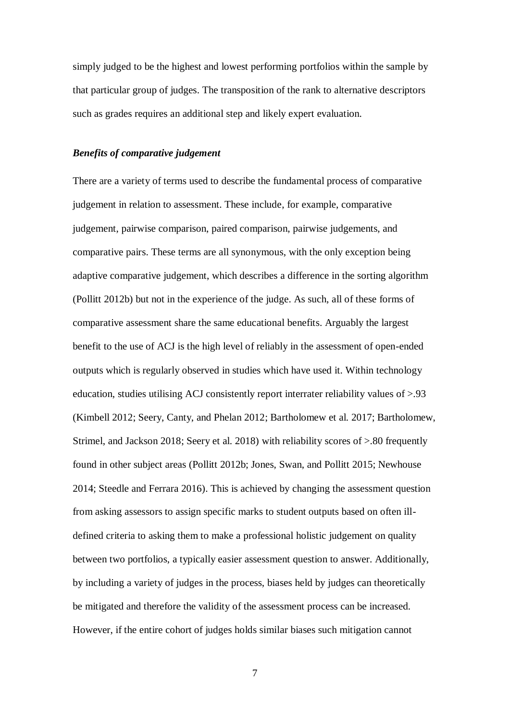simply judged to be the highest and lowest performing portfolios within the sample by that particular group of judges. The transposition of the rank to alternative descriptors such as grades requires an additional step and likely expert evaluation.

#### *Benefits of comparative judgement*

There are a variety of terms used to describe the fundamental process of comparative judgement in relation to assessment. These include, for example, comparative judgement, pairwise comparison, paired comparison, pairwise judgements, and comparative pairs. These terms are all synonymous, with the only exception being adaptive comparative judgement, which describes a difference in the sorting algorithm (Pollitt 2012b) but not in the experience of the judge. As such, all of these forms of comparative assessment share the same educational benefits. Arguably the largest benefit to the use of ACJ is the high level of reliably in the assessment of open-ended outputs which is regularly observed in studies which have used it. Within technology education, studies utilising ACJ consistently report interrater reliability values of >.93 (Kimbell 2012; Seery, Canty, and Phelan 2012; Bartholomew et al. 2017; Bartholomew, Strimel, and Jackson 2018; Seery et al. 2018) with reliability scores of >.80 frequently found in other subject areas (Pollitt 2012b; Jones, Swan, and Pollitt 2015; Newhouse 2014; Steedle and Ferrara 2016). This is achieved by changing the assessment question from asking assessors to assign specific marks to student outputs based on often illdefined criteria to asking them to make a professional holistic judgement on quality between two portfolios, a typically easier assessment question to answer. Additionally, by including a variety of judges in the process, biases held by judges can theoretically be mitigated and therefore the validity of the assessment process can be increased. However, if the entire cohort of judges holds similar biases such mitigation cannot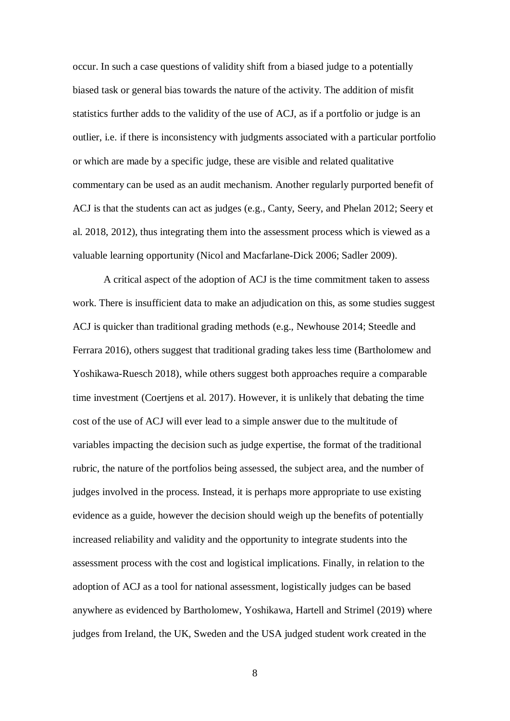occur. In such a case questions of validity shift from a biased judge to a potentially biased task or general bias towards the nature of the activity. The addition of misfit statistics further adds to the validity of the use of ACJ, as if a portfolio or judge is an outlier, i.e. if there is inconsistency with judgments associated with a particular portfolio or which are made by a specific judge, these are visible and related qualitative commentary can be used as an audit mechanism. Another regularly purported benefit of ACJ is that the students can act as judges (e.g., Canty, Seery, and Phelan 2012; Seery et al. 2018, 2012), thus integrating them into the assessment process which is viewed as a valuable learning opportunity (Nicol and Macfarlane-Dick 2006; Sadler 2009).

A critical aspect of the adoption of ACJ is the time commitment taken to assess work. There is insufficient data to make an adjudication on this, as some studies suggest ACJ is quicker than traditional grading methods (e.g., Newhouse 2014; Steedle and Ferrara 2016), others suggest that traditional grading takes less time (Bartholomew and Yoshikawa-Ruesch 2018), while others suggest both approaches require a comparable time investment (Coertjens et al. 2017). However, it is unlikely that debating the time cost of the use of ACJ will ever lead to a simple answer due to the multitude of variables impacting the decision such as judge expertise, the format of the traditional rubric, the nature of the portfolios being assessed, the subject area, and the number of judges involved in the process. Instead, it is perhaps more appropriate to use existing evidence as a guide, however the decision should weigh up the benefits of potentially increased reliability and validity and the opportunity to integrate students into the assessment process with the cost and logistical implications. Finally, in relation to the adoption of ACJ as a tool for national assessment, logistically judges can be based anywhere as evidenced by Bartholomew, Yoshikawa, Hartell and Strimel (2019) where judges from Ireland, the UK, Sweden and the USA judged student work created in the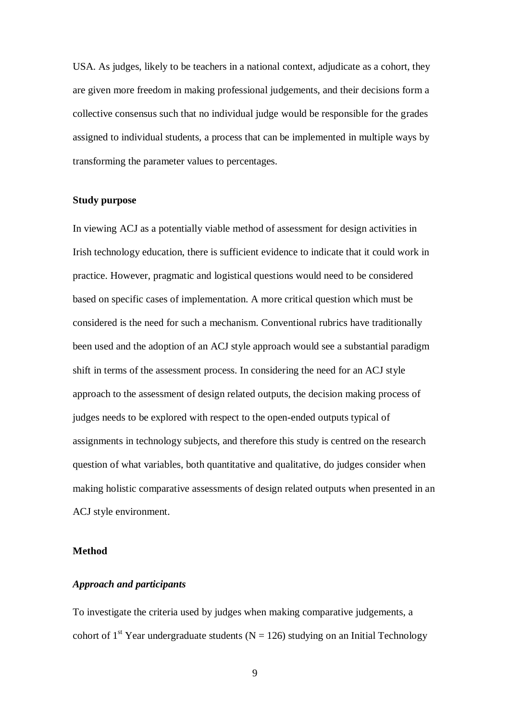USA. As judges, likely to be teachers in a national context, adjudicate as a cohort, they are given more freedom in making professional judgements, and their decisions form a collective consensus such that no individual judge would be responsible for the grades assigned to individual students, a process that can be implemented in multiple ways by transforming the parameter values to percentages.

## **Study purpose**

In viewing ACJ as a potentially viable method of assessment for design activities in Irish technology education, there is sufficient evidence to indicate that it could work in practice. However, pragmatic and logistical questions would need to be considered based on specific cases of implementation. A more critical question which must be considered is the need for such a mechanism. Conventional rubrics have traditionally been used and the adoption of an ACJ style approach would see a substantial paradigm shift in terms of the assessment process. In considering the need for an ACJ style approach to the assessment of design related outputs, the decision making process of judges needs to be explored with respect to the open-ended outputs typical of assignments in technology subjects, and therefore this study is centred on the research question of what variables, both quantitative and qualitative, do judges consider when making holistic comparative assessments of design related outputs when presented in an ACJ style environment.

#### **Method**

#### *Approach and participants*

To investigate the criteria used by judges when making comparative judgements, a cohort of 1<sup>st</sup> Year undergraduate students (N = 126) studying on an Initial Technology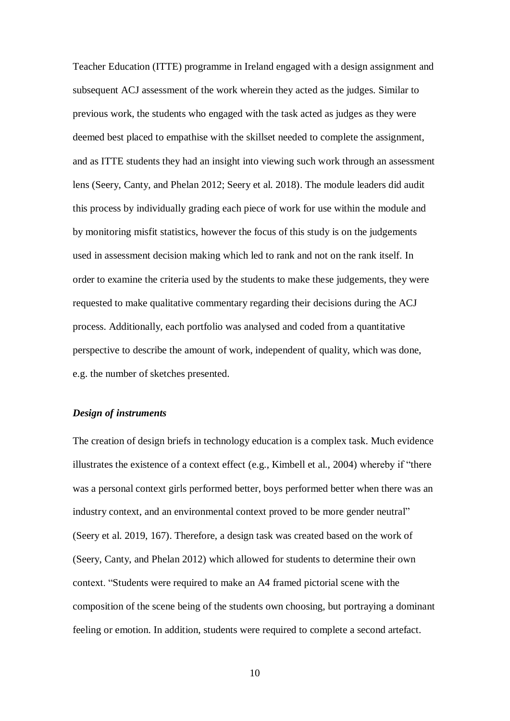Teacher Education (ITTE) programme in Ireland engaged with a design assignment and subsequent ACJ assessment of the work wherein they acted as the judges. Similar to previous work, the students who engaged with the task acted as judges as they were deemed best placed to empathise with the skillset needed to complete the assignment, and as ITTE students they had an insight into viewing such work through an assessment lens (Seery, Canty, and Phelan 2012; Seery et al. 2018). The module leaders did audit this process by individually grading each piece of work for use within the module and by monitoring misfit statistics, however the focus of this study is on the judgements used in assessment decision making which led to rank and not on the rank itself. In order to examine the criteria used by the students to make these judgements, they were requested to make qualitative commentary regarding their decisions during the ACJ process. Additionally, each portfolio was analysed and coded from a quantitative perspective to describe the amount of work, independent of quality, which was done, e.g. the number of sketches presented.

#### *Design of instruments*

The creation of design briefs in technology education is a complex task. Much evidence illustrates the existence of a context effect (e.g., Kimbell et al., 2004) whereby if "there was a personal context girls performed better, boys performed better when there was an industry context, and an environmental context proved to be more gender neutral" (Seery et al. 2019, 167). Therefore, a design task was created based on the work of (Seery, Canty, and Phelan 2012) which allowed for students to determine their own context. "Students were required to make an A4 framed pictorial scene with the composition of the scene being of the students own choosing, but portraying a dominant feeling or emotion. In addition, students were required to complete a second artefact.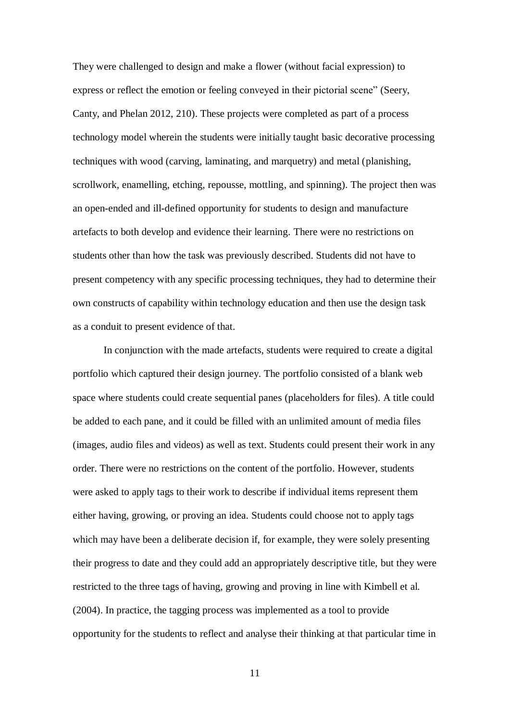They were challenged to design and make a flower (without facial expression) to express or reflect the emotion or feeling conveyed in their pictorial scene" (Seery, Canty, and Phelan 2012, 210). These projects were completed as part of a process technology model wherein the students were initially taught basic decorative processing techniques with wood (carving, laminating, and marquetry) and metal (planishing, scrollwork, enamelling, etching, repousse, mottling, and spinning). The project then was an open-ended and ill-defined opportunity for students to design and manufacture artefacts to both develop and evidence their learning. There were no restrictions on students other than how the task was previously described. Students did not have to present competency with any specific processing techniques, they had to determine their own constructs of capability within technology education and then use the design task as a conduit to present evidence of that.

In conjunction with the made artefacts, students were required to create a digital portfolio which captured their design journey. The portfolio consisted of a blank web space where students could create sequential panes (placeholders for files). A title could be added to each pane, and it could be filled with an unlimited amount of media files (images, audio files and videos) as well as text. Students could present their work in any order. There were no restrictions on the content of the portfolio. However, students were asked to apply tags to their work to describe if individual items represent them either having, growing, or proving an idea. Students could choose not to apply tags which may have been a deliberate decision if, for example, they were solely presenting their progress to date and they could add an appropriately descriptive title, but they were restricted to the three tags of having, growing and proving in line with Kimbell et al. (2004). In practice, the tagging process was implemented as a tool to provide opportunity for the students to reflect and analyse their thinking at that particular time in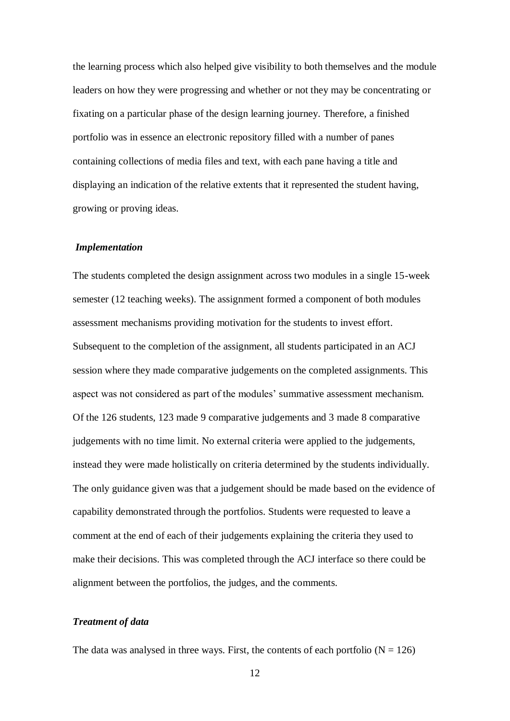the learning process which also helped give visibility to both themselves and the module leaders on how they were progressing and whether or not they may be concentrating or fixating on a particular phase of the design learning journey. Therefore, a finished portfolio was in essence an electronic repository filled with a number of panes containing collections of media files and text, with each pane having a title and displaying an indication of the relative extents that it represented the student having, growing or proving ideas.

#### *Implementation*

The students completed the design assignment across two modules in a single 15-week semester (12 teaching weeks). The assignment formed a component of both modules assessment mechanisms providing motivation for the students to invest effort. Subsequent to the completion of the assignment, all students participated in an ACJ session where they made comparative judgements on the completed assignments. This aspect was not considered as part of the modules' summative assessment mechanism. Of the 126 students, 123 made 9 comparative judgements and 3 made 8 comparative judgements with no time limit. No external criteria were applied to the judgements, instead they were made holistically on criteria determined by the students individually. The only guidance given was that a judgement should be made based on the evidence of capability demonstrated through the portfolios. Students were requested to leave a comment at the end of each of their judgements explaining the criteria they used to make their decisions. This was completed through the ACJ interface so there could be alignment between the portfolios, the judges, and the comments.

## *Treatment of data*

The data was analysed in three ways. First, the contents of each portfolio  $(N = 126)$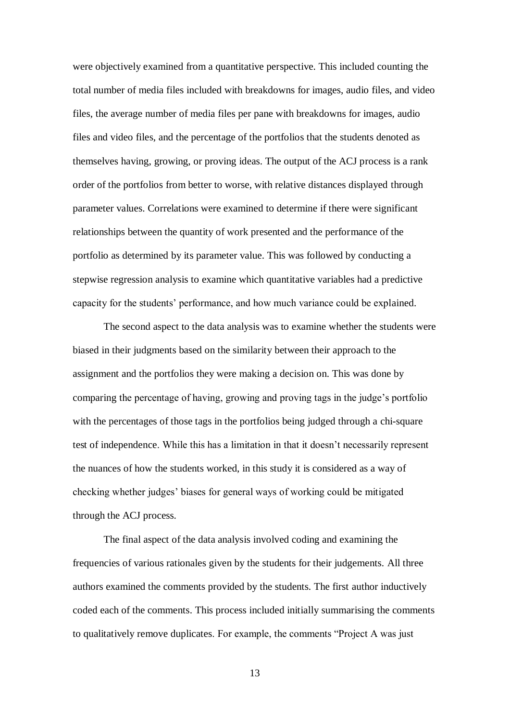were objectively examined from a quantitative perspective. This included counting the total number of media files included with breakdowns for images, audio files, and video files, the average number of media files per pane with breakdowns for images, audio files and video files, and the percentage of the portfolios that the students denoted as themselves having, growing, or proving ideas. The output of the ACJ process is a rank order of the portfolios from better to worse, with relative distances displayed through parameter values. Correlations were examined to determine if there were significant relationships between the quantity of work presented and the performance of the portfolio as determined by its parameter value. This was followed by conducting a stepwise regression analysis to examine which quantitative variables had a predictive capacity for the students' performance, and how much variance could be explained.

The second aspect to the data analysis was to examine whether the students were biased in their judgments based on the similarity between their approach to the assignment and the portfolios they were making a decision on. This was done by comparing the percentage of having, growing and proving tags in the judge's portfolio with the percentages of those tags in the portfolios being judged through a chi-square test of independence. While this has a limitation in that it doesn't necessarily represent the nuances of how the students worked, in this study it is considered as a way of checking whether judges' biases for general ways of working could be mitigated through the ACJ process.

The final aspect of the data analysis involved coding and examining the frequencies of various rationales given by the students for their judgements. All three authors examined the comments provided by the students. The first author inductively coded each of the comments. This process included initially summarising the comments to qualitatively remove duplicates. For example, the comments "Project A was just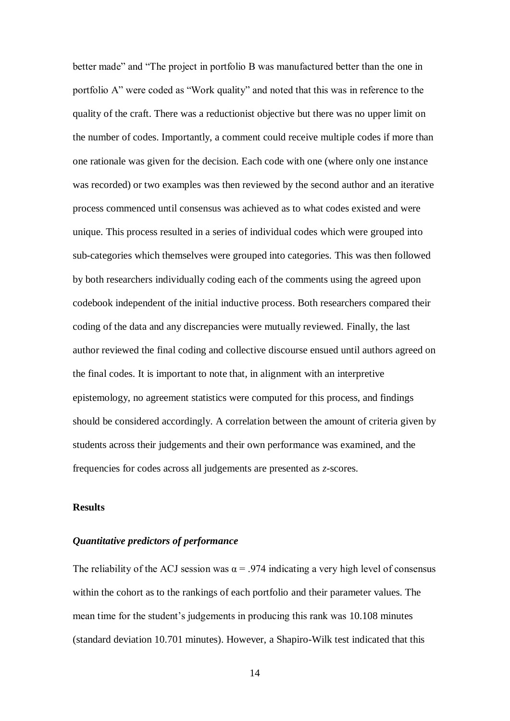better made" and "The project in portfolio B was manufactured better than the one in portfolio A" were coded as "Work quality" and noted that this was in reference to the quality of the craft. There was a reductionist objective but there was no upper limit on the number of codes. Importantly, a comment could receive multiple codes if more than one rationale was given for the decision. Each code with one (where only one instance was recorded) or two examples was then reviewed by the second author and an iterative process commenced until consensus was achieved as to what codes existed and were unique. This process resulted in a series of individual codes which were grouped into sub-categories which themselves were grouped into categories. This was then followed by both researchers individually coding each of the comments using the agreed upon codebook independent of the initial inductive process. Both researchers compared their coding of the data and any discrepancies were mutually reviewed. Finally, the last author reviewed the final coding and collective discourse ensued until authors agreed on the final codes. It is important to note that, in alignment with an interpretive epistemology, no agreement statistics were computed for this process, and findings should be considered accordingly. A correlation between the amount of criteria given by students across their judgements and their own performance was examined, and the frequencies for codes across all judgements are presented as *z*-scores.

#### **Results**

#### *Quantitative predictors of performance*

The reliability of the ACJ session was  $\alpha = .974$  indicating a very high level of consensus within the cohort as to the rankings of each portfolio and their parameter values. The mean time for the student's judgements in producing this rank was 10.108 minutes (standard deviation 10.701 minutes). However, a Shapiro-Wilk test indicated that this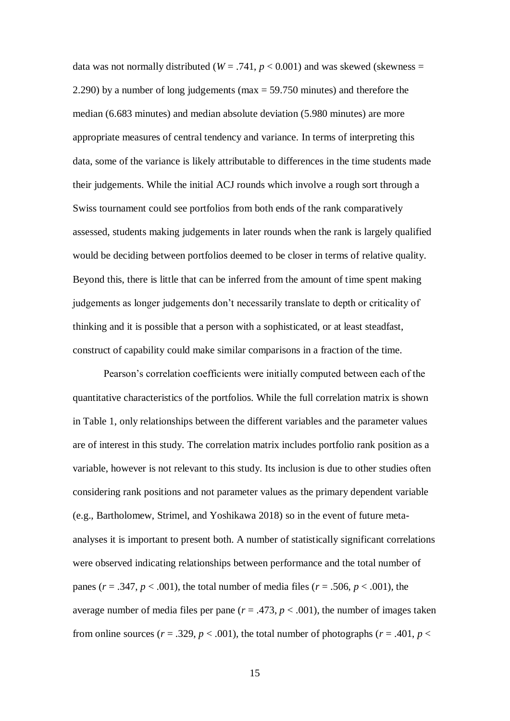data was not normally distributed ( $W = .741$ ,  $p < 0.001$ ) and was skewed (skewness = 2.290) by a number of long judgements (max = 59.750 minutes) and therefore the median (6.683 minutes) and median absolute deviation (5.980 minutes) are more appropriate measures of central tendency and variance. In terms of interpreting this data, some of the variance is likely attributable to differences in the time students made their judgements. While the initial ACJ rounds which involve a rough sort through a Swiss tournament could see portfolios from both ends of the rank comparatively assessed, students making judgements in later rounds when the rank is largely qualified would be deciding between portfolios deemed to be closer in terms of relative quality. Beyond this, there is little that can be inferred from the amount of time spent making judgements as longer judgements don't necessarily translate to depth or criticality of thinking and it is possible that a person with a sophisticated, or at least steadfast, construct of capability could make similar comparisons in a fraction of the time.

Pearson's correlation coefficients were initially computed between each of the quantitative characteristics of the portfolios. While the full correlation matrix is shown in Table 1, only relationships between the different variables and the parameter values are of interest in this study. The correlation matrix includes portfolio rank position as a variable, however is not relevant to this study. Its inclusion is due to other studies often considering rank positions and not parameter values as the primary dependent variable (e.g., Bartholomew, Strimel, and Yoshikawa 2018) so in the event of future metaanalyses it is important to present both. A number of statistically significant correlations were observed indicating relationships between performance and the total number of panes ( $r = .347$ ,  $p < .001$ ), the total number of media files ( $r = .506$ ,  $p < .001$ ), the average number of media files per pane  $(r = .473, p < .001)$ , the number of images taken from online sources ( $r = .329$ ,  $p < .001$ ), the total number of photographs ( $r = .401$ ,  $p <$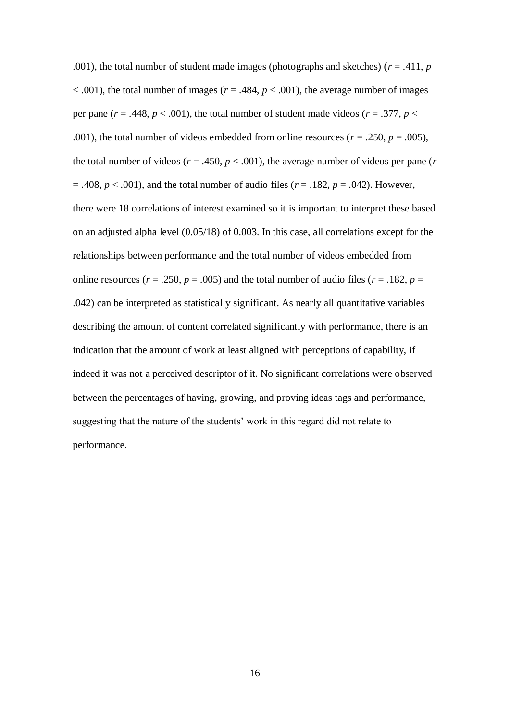.001), the total number of student made images (photographs and sketches) ( $r = .411$ ,  $p = .411$  $< .001$ ), the total number of images ( $r = .484$ ,  $p < .001$ ), the average number of images per pane ( $r = .448$ ,  $p < .001$ ), the total number of student made videos ( $r = .377$ ,  $p <$ .001), the total number of videos embedded from online resources ( $r = .250$ ,  $p = .005$ ), the total number of videos ( $r = .450$ ,  $p < .001$ ), the average number of videos per pane ( $r$ )  $= .408, p < .001$ ), and the total number of audio files ( $r = .182, p = .042$ ). However, there were 18 correlations of interest examined so it is important to interpret these based on an adjusted alpha level (0.05/18) of 0.003. In this case, all correlations except for the relationships between performance and the total number of videos embedded from online resources ( $r = .250$ ,  $p = .005$ ) and the total number of audio files ( $r = .182$ ,  $p =$ .042) can be interpreted as statistically significant. As nearly all quantitative variables describing the amount of content correlated significantly with performance, there is an indication that the amount of work at least aligned with perceptions of capability, if indeed it was not a perceived descriptor of it. No significant correlations were observed between the percentages of having, growing, and proving ideas tags and performance, suggesting that the nature of the students' work in this regard did not relate to performance.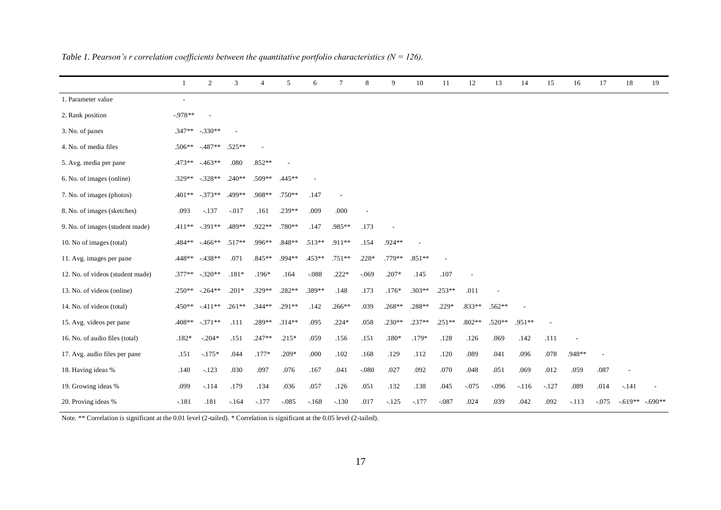|                                  | 1                        | 2         | 3        | $\overline{4}$ | 5        | 6        | $\tau$                   | 8              | 9        | 10       | 11       | 12       | 13       | 14     | 15      | 16      | 17      | 18        | 19       |
|----------------------------------|--------------------------|-----------|----------|----------------|----------|----------|--------------------------|----------------|----------|----------|----------|----------|----------|--------|---------|---------|---------|-----------|----------|
| 1. Parameter value               | $\overline{\phantom{a}}$ |           |          |                |          |          |                          |                |          |          |          |          |          |        |         |         |         |           |          |
| 2. Rank position                 | $-978**$                 |           |          |                |          |          |                          |                |          |          |          |          |          |        |         |         |         |           |          |
| 3. No. of panes                  | $.347**$                 | $-.330**$ | $\sim$   |                |          |          |                          |                |          |          |          |          |          |        |         |         |         |           |          |
| 4. No. of media files            | $.506**$                 | $-487**$  | .525**   |                |          |          |                          |                |          |          |          |          |          |        |         |         |         |           |          |
| 5. Avg. media per pane           | $.473**$                 | $-463**$  | .080     | $.852**$       |          |          |                          |                |          |          |          |          |          |        |         |         |         |           |          |
| 6. No. of images (online)        | $.329**$                 | $-.328**$ | $.240**$ | $.509**$       | .445**   |          |                          |                |          |          |          |          |          |        |         |         |         |           |          |
| 7. No. of images (photos)        | $.401**$                 | $-.373**$ | .499**   | .908**         | $.750**$ | .147     | $\overline{\phantom{a}}$ |                |          |          |          |          |          |        |         |         |         |           |          |
| 8. No. of images (sketches)      | .093                     | $-137$    | $-017$   | .161           | .239**   | .009     | .000                     | $\overline{a}$ |          |          |          |          |          |        |         |         |         |           |          |
| 9. No. of images (student made)  | $.411**$                 | $-.391**$ | .489**   | .922**         | $.780**$ | .147     | .985**                   | .173           |          |          |          |          |          |        |         |         |         |           |          |
| 10. No of images (total)         | $.484***$                | $-466**$  | $.517**$ | $.996**$       | $.848**$ | $.513**$ | $.911**$                 | .154           | .924**   |          |          |          |          |        |         |         |         |           |          |
| 11. Avg. images per pane         | $.448**$                 | $-438**$  | .071     | $.845**$       | .994**   | $.453**$ | $.751**$                 | $.228*$        | $.779**$ | $.851**$ |          |          |          |        |         |         |         |           |          |
| 12. No. of videos (student made) | $.377**$                 | $-.320**$ | $.181*$  | $.196*$        | .164     | $-.088$  | $.222*$                  | $-069$         | $.207*$  | .145     | .107     |          |          |        |         |         |         |           |          |
| 13. No. of videos (online)       | $.250**$                 | $-.264**$ | $.201*$  | $.329**$       | $.282**$ | .389**   | .148                     | .173           | $.176*$  | $.303**$ | $.253**$ | .011     |          |        |         |         |         |           |          |
| 14. No. of videos (total)        | $.450**$                 | $-411**$  | $.261**$ | $.344**$       | .291**   | .142     | $.266**$                 | .039           | $.268**$ | .288**   | $.229*$  | .833**   | .562**   |        |         |         |         |           |          |
| 15. Avg. videos per pane         | $.408**$                 | $-.371**$ | .111     | .289**         | $.314**$ | .095     | $.224*$                  | .058           | $.230**$ | .237**   | $.251**$ | $.802**$ | $.520**$ | .951** |         |         |         |           |          |
| 16. No. of audio files (total)   | $.182*$                  | $-.204*$  | .151     | $.247**$       | $.215*$  | .059     | .156                     | .151           | $.180*$  | $.179*$  | .128     | .126     | .069     | .142   | .111    |         |         |           |          |
| 17. Avg. audio files per pane    | .151                     | $-175*$   | .044     | $.177*$        | $.209*$  | .000     | .102                     | .168           | .129     | .112     | .120     | .089     | .041     | .096   | .078    | .948**  |         |           |          |
| 18. Having ideas %               | .140                     | $-123$    | .030     | .097           | .076     | .167     | .041                     | $-.080$        | .027     | .092     | .070     | .048     | .051     | .069   | .012    | .059    | .087    |           |          |
| 19. Growing ideas %              | .099                     | $-114$    | .179     | .134           | .036     | .057     | .126                     | .051           | .132     | .138     | .045     | $-.075$  | $-.096$  | $-116$ | $-.127$ | .089    | .014    | $-.141$   |          |
| 20. Proving ideas %              | $-.181$                  | .181      | $-164$   | $-177$         | $-0.085$ | $-168$   | $-.130$                  | .017           | $-125$   | $-.177$  | $-.087$  | .024     | .039     | .042   | .092    | $-.113$ | $-.075$ | $-.619**$ | $-690**$ |

*Table 1. Pearson's r correlation coefficients between the quantitative portfolio characteristics (N = 126).*

Note. \*\* Correlation is significant at the 0.01 level (2-tailed). \* Correlation is significant at the 0.05 level (2-tailed).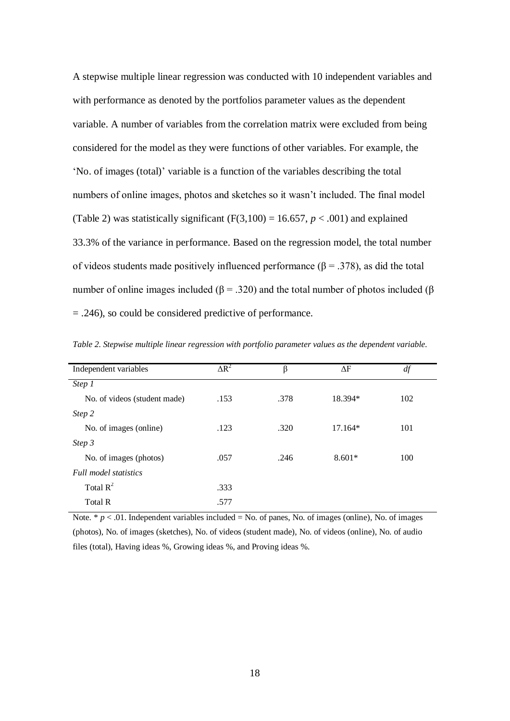A stepwise multiple linear regression was conducted with 10 independent variables and with performance as denoted by the portfolios parameter values as the dependent variable. A number of variables from the correlation matrix were excluded from being considered for the model as they were functions of other variables. For example, the 'No. of images (total)' variable is a function of the variables describing the total numbers of online images, photos and sketches so it wasn't included. The final model (Table 2) was statistically significant  $(F(3,100) = 16.657, p < .001)$  and explained 33.3% of the variance in performance. Based on the regression model, the total number of videos students made positively influenced performance ( $\beta$  = .378), as did the total number of online images included ( $\beta$  = .320) and the total number of photos included ( $\beta$ ) = .246), so could be considered predictive of performance.

| Independent variables        | $\Delta R^2$ | β    | $\Delta F$ | df  |  |
|------------------------------|--------------|------|------------|-----|--|
| Step 1                       |              |      |            |     |  |
| No. of videos (student made) | .153         | .378 | 18.394*    | 102 |  |
| Step 2                       |              |      |            |     |  |
| No. of images (online)       | .123         | .320 | $17.164*$  | 101 |  |
| Step 3                       |              |      |            |     |  |
| No. of images (photos)       | .057         | .246 | $8.601*$   | 100 |  |
| <b>Full model statistics</b> |              |      |            |     |  |
| Total $R^2$                  | .333         |      |            |     |  |
| Total R                      | .577         |      |            |     |  |
|                              |              |      |            |     |  |

*Table 2. Stepwise multiple linear regression with portfolio parameter values as the dependent variable.*

Note.  $* p < .01$ . Independent variables included = No. of panes, No. of images (online), No. of images (photos), No. of images (sketches), No. of videos (student made), No. of videos (online), No. of audio files (total), Having ideas %, Growing ideas %, and Proving ideas %.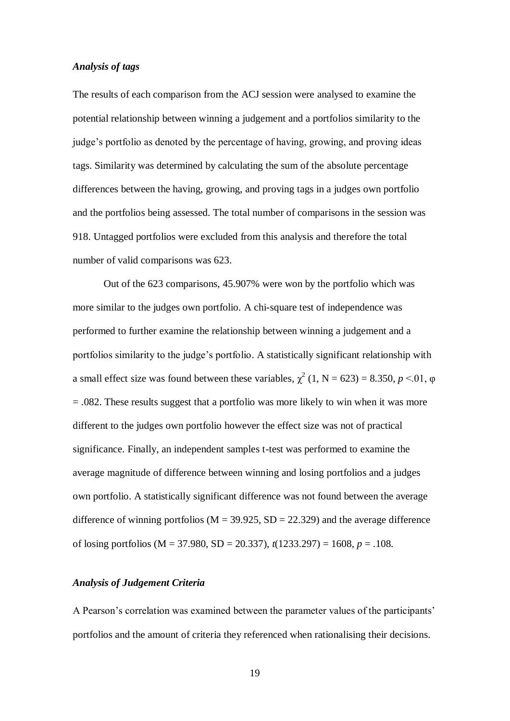## *Analysis of tags*

The results of each comparison from the ACJ session were analysed to examine the potential relationship between winning a judgement and a portfolios similarity to the judge's portfolio as denoted by the percentage of having, growing, and proving ideas tags. Similarity was determined by calculating the sum of the absolute percentage differences between the having, growing, and proving tags in a judges own portfolio and the portfolios being assessed. The total number of comparisons in the session was 918. Untagged portfolios were excluded from this analysis and therefore the total number of valid comparisons was 623.

Out of the 623 comparisons, 45.907% were won by the portfolio which was more similar to the judges own portfolio. A chi-square test of independence was performed to further examine the relationship between winning a judgement and a portfolios similarity to the judge's portfolio. A statistically significant relationship with a small effect size was found between these variables,  $\chi^2$  (1, N = 623) = 8.350, *p* <.01,  $\varphi$ = .082. These results suggest that a portfolio was more likely to win when it was more different to the judges own portfolio however the effect size was not of practical significance. Finally, an independent samples t-test was performed to examine the average magnitude of difference between winning and losing portfolios and a judges own portfolio. A statistically significant difference was not found between the average difference of winning portfolios ( $M = 39.925$ ,  $SD = 22.329$ ) and the average difference of losing portfolios (M = 37.980, SD = 20.337), *t*(1233.297) = 1608, *p* = .108.

## *Analysis of Judgement Criteria*

A Pearson's correlation was examined between the parameter values of the participants' portfolios and the amount of criteria they referenced when rationalising their decisions.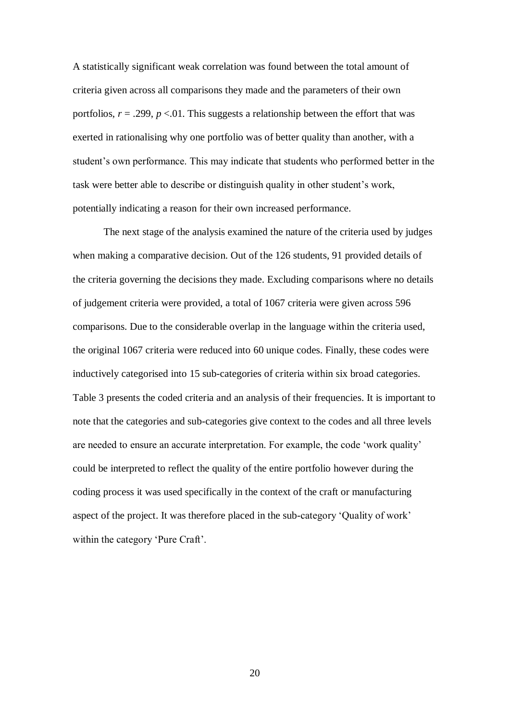A statistically significant weak correlation was found between the total amount of criteria given across all comparisons they made and the parameters of their own portfolios,  $r = .299$ ,  $p < .01$ . This suggests a relationship between the effort that was exerted in rationalising why one portfolio was of better quality than another, with a student's own performance. This may indicate that students who performed better in the task were better able to describe or distinguish quality in other student's work, potentially indicating a reason for their own increased performance.

The next stage of the analysis examined the nature of the criteria used by judges when making a comparative decision. Out of the 126 students, 91 provided details of the criteria governing the decisions they made. Excluding comparisons where no details of judgement criteria were provided, a total of 1067 criteria were given across 596 comparisons. Due to the considerable overlap in the language within the criteria used, the original 1067 criteria were reduced into 60 unique codes. Finally, these codes were inductively categorised into 15 sub-categories of criteria within six broad categories. Table 3 presents the coded criteria and an analysis of their frequencies. It is important to note that the categories and sub-categories give context to the codes and all three levels are needed to ensure an accurate interpretation. For example, the code 'work quality' could be interpreted to reflect the quality of the entire portfolio however during the coding process it was used specifically in the context of the craft or manufacturing aspect of the project. It was therefore placed in the sub-category 'Quality of work' within the category 'Pure Craft'.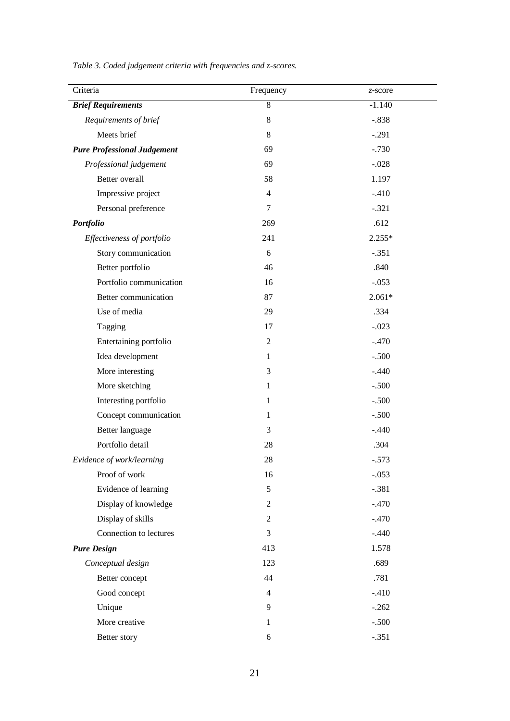*Table 3. Coded judgement criteria with frequencies and z-scores.*

| Criteria                           | Frequency      | z-score  |
|------------------------------------|----------------|----------|
| <b>Brief Requirements</b>          | $\overline{8}$ | $-1.140$ |
| Requirements of brief              | $8\,$          | $-.838$  |
| Meets brief                        | $8\,$          | $-.291$  |
| <b>Pure Professional Judgement</b> | 69             | $-.730$  |
| Professional judgement             | 69             | $-.028$  |
| Better overall                     | 58             | 1.197    |
| Impressive project                 | $\overline{4}$ | $-.410$  |
| Personal preference                | 7              | $-.321$  |
| Portfolio                          | 269            | .612     |
| Effectiveness of portfolio         | 241            | $2.255*$ |
| Story communication                | 6              | $-.351$  |
| Better portfolio                   | 46             | .840     |
| Portfolio communication            | 16             | $-.053$  |
| Better communication               | 87             | $2.061*$ |
| Use of media                       | 29             | .334     |
| Tagging                            | 17             | $-.023$  |
| Entertaining portfolio             | $\overline{2}$ | $-.470$  |
| Idea development                   | 1              | $-.500$  |
| More interesting                   | 3              | $-.440$  |
| More sketching                     | 1              | $-.500$  |
| Interesting portfolio              | $\mathbf{1}$   | $-.500$  |
| Concept communication              | 1              | $-.500$  |
| Better language                    | 3              | $-.440$  |
| Portfolio detail                   | 28             | .304     |
| Evidence of work/learning          | 28             | $-.573$  |
| Proof of work                      | 16             | $-.053$  |
| Evidence of learning               | 5              | $-.381$  |
| Display of knowledge               | 2              | $-.470$  |
| Display of skills                  | $\overline{2}$ | $-.470$  |
| Connection to lectures             | 3              | $-.440$  |
| <b>Pure Design</b>                 | 413            | 1.578    |
| Conceptual design                  | 123            | .689     |
| Better concept                     | 44             | .781     |
| Good concept                       | $\overline{4}$ | $-.410$  |
| Unique                             | 9              | $-.262$  |
| More creative                      | 1              | $-.500$  |
| Better story                       | 6              | $-.351$  |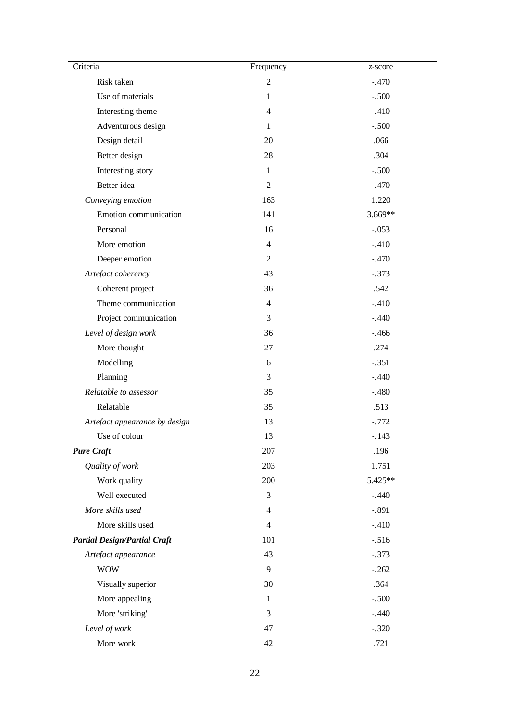| Criteria                            | Frequency      | z-score |
|-------------------------------------|----------------|---------|
| Risk taken                          | $\overline{2}$ | $-.470$ |
| Use of materials                    | $\mathbf{1}$   | $-.500$ |
| Interesting theme                   | $\overline{4}$ | $-.410$ |
| Adventurous design                  | $\mathbf{1}$   | $-.500$ |
| Design detail                       | 20             | .066    |
| Better design                       | 28             | .304    |
| Interesting story                   | $\mathbf{1}$   | $-.500$ |
| Better idea                         | 2              | $-.470$ |
| Conveying emotion                   | 163            | 1.220   |
| Emotion communication               | 141            | 3.669** |
| Personal                            | 16             | $-.053$ |
| More emotion                        | $\overline{4}$ | $-.410$ |
| Deeper emotion                      | 2              | $-.470$ |
| Artefact coherency                  | 43             | $-.373$ |
| Coherent project                    | 36             | .542    |
| Theme communication                 | $\overline{4}$ | $-.410$ |
| Project communication               | 3              | $-.440$ |
| Level of design work                | 36             | $-.466$ |
| More thought                        | 27             | .274    |
| Modelling                           | 6              | $-.351$ |
| Planning                            | 3              | $-.440$ |
| Relatable to assessor               | 35             | $-.480$ |
| Relatable                           | 35             | .513    |
| Artefact appearance by design       | 13             | $-.772$ |
| Use of colour                       | 13             | $-.143$ |
| <b>Pure Craft</b>                   | 207            | .196    |
| Quality of work                     | 203            | 1.751   |
| Work quality                        | 200            | 5.425** |
| Well executed                       | 3              | $-.440$ |
| More skills used                    | $\overline{4}$ | $-.891$ |
| More skills used                    | $\overline{4}$ | $-.410$ |
| <b>Partial Design/Partial Craft</b> | 101            | $-.516$ |
| Artefact appearance                 | 43             | $-.373$ |
| <b>WOW</b>                          | 9              | $-.262$ |
| Visually superior                   | 30             | .364    |
| More appealing                      | $\mathbf{1}$   | $-.500$ |
| More 'striking'                     | 3              | $-.440$ |
| Level of work                       | 47             | $-.320$ |
| More work                           | 42             | .721    |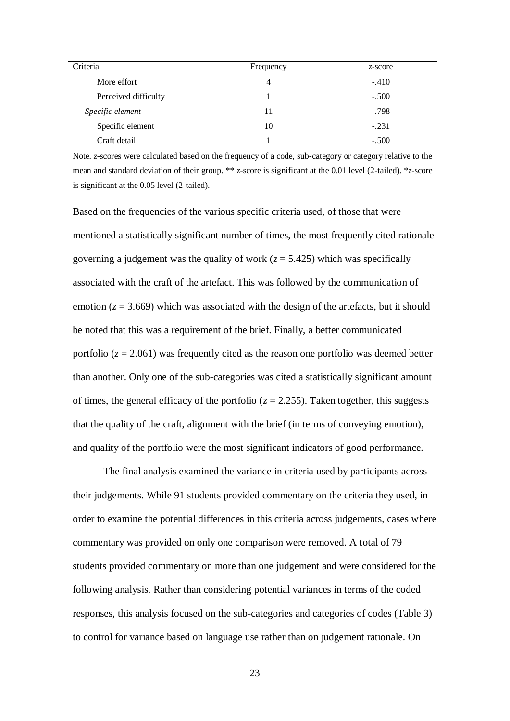| Criteria             | Frequency | $z$ -score |
|----------------------|-----------|------------|
| More effort          | 4         | $-.410$    |
| Perceived difficulty |           | $-.500$    |
| Specific element     | 11        | $-.798$    |
| Specific element     | 10        | $-.231$    |
| Craft detail         |           | $-.500$    |

Note. *z*-scores were calculated based on the frequency of a code, sub-category or category relative to the mean and standard deviation of their group. \*\* *z*-score is significant at the 0.01 level (2-tailed). \**z*-score is significant at the 0.05 level (2-tailed).

Based on the frequencies of the various specific criteria used, of those that were mentioned a statistically significant number of times, the most frequently cited rationale governing a judgement was the quality of work  $(z = 5.425)$  which was specifically associated with the craft of the artefact. This was followed by the communication of emotion  $(z = 3.669)$  which was associated with the design of the artefacts, but it should be noted that this was a requirement of the brief. Finally, a better communicated portfolio  $(z = 2.061)$  was frequently cited as the reason one portfolio was deemed better than another. Only one of the sub-categories was cited a statistically significant amount of times, the general efficacy of the portfolio  $(z = 2.255)$ . Taken together, this suggests that the quality of the craft, alignment with the brief (in terms of conveying emotion), and quality of the portfolio were the most significant indicators of good performance.

The final analysis examined the variance in criteria used by participants across their judgements. While 91 students provided commentary on the criteria they used, in order to examine the potential differences in this criteria across judgements, cases where commentary was provided on only one comparison were removed. A total of 79 students provided commentary on more than one judgement and were considered for the following analysis. Rather than considering potential variances in terms of the coded responses, this analysis focused on the sub-categories and categories of codes (Table 3) to control for variance based on language use rather than on judgement rationale. On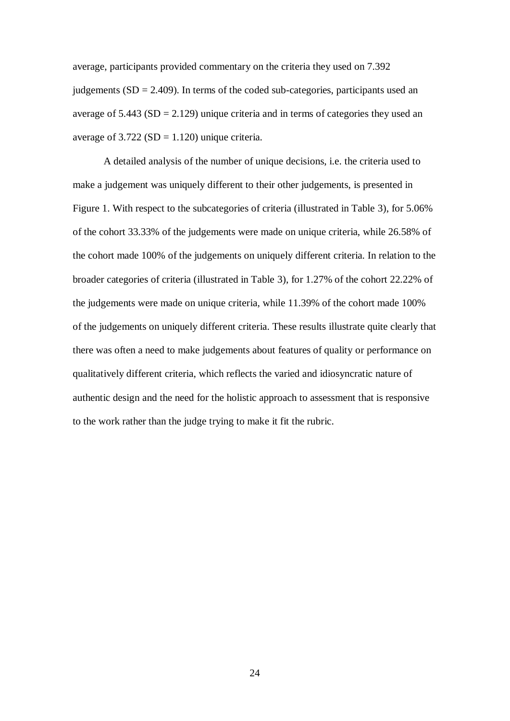average, participants provided commentary on the criteria they used on 7.392 judgements  $(SD = 2.409)$ . In terms of the coded sub-categories, participants used an average of  $5.443$  (SD = 2.129) unique criteria and in terms of categories they used an average of  $3.722$  (SD = 1.120) unique criteria.

A detailed analysis of the number of unique decisions, i.e. the criteria used to make a judgement was uniquely different to their other judgements, is presented in Figure 1. With respect to the subcategories of criteria (illustrated in Table 3), for 5.06% of the cohort 33.33% of the judgements were made on unique criteria, while 26.58% of the cohort made 100% of the judgements on uniquely different criteria. In relation to the broader categories of criteria (illustrated in Table 3), for 1.27% of the cohort 22.22% of the judgements were made on unique criteria, while 11.39% of the cohort made 100% of the judgements on uniquely different criteria. These results illustrate quite clearly that there was often a need to make judgements about features of quality or performance on qualitatively different criteria, which reflects the varied and idiosyncratic nature of authentic design and the need for the holistic approach to assessment that is responsive to the work rather than the judge trying to make it fit the rubric.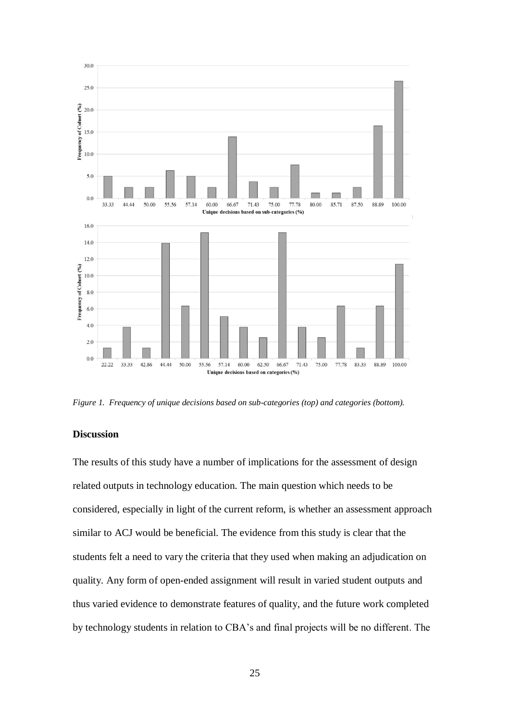

*Figure 1. Frequency of unique decisions based on sub-categories (top) and categories (bottom).*

## **Discussion**

The results of this study have a number of implications for the assessment of design related outputs in technology education. The main question which needs to be considered, especially in light of the current reform, is whether an assessment approach similar to ACJ would be beneficial. The evidence from this study is clear that the students felt a need to vary the criteria that they used when making an adjudication on quality. Any form of open-ended assignment will result in varied student outputs and thus varied evidence to demonstrate features of quality, and the future work completed by technology students in relation to CBA's and final projects will be no different. The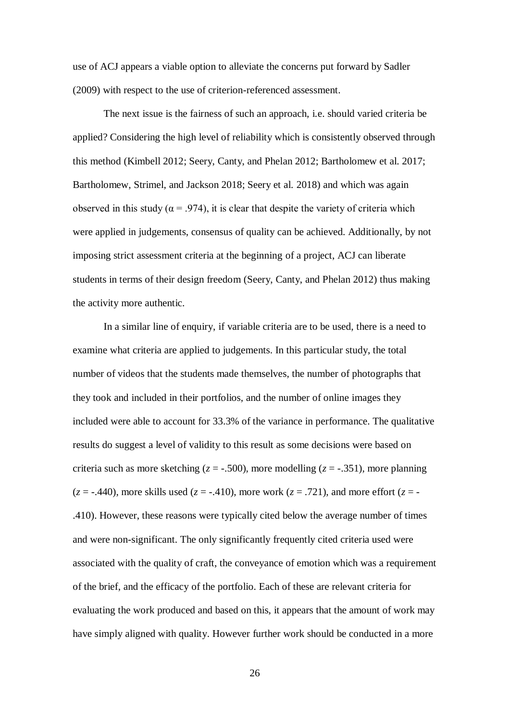use of ACJ appears a viable option to alleviate the concerns put forward by Sadler (2009) with respect to the use of criterion-referenced assessment.

The next issue is the fairness of such an approach, i.e. should varied criteria be applied? Considering the high level of reliability which is consistently observed through this method (Kimbell 2012; Seery, Canty, and Phelan 2012; Bartholomew et al. 2017; Bartholomew, Strimel, and Jackson 2018; Seery et al. 2018) and which was again observed in this study ( $\alpha$  = .974), it is clear that despite the variety of criteria which were applied in judgements, consensus of quality can be achieved. Additionally, by not imposing strict assessment criteria at the beginning of a project, ACJ can liberate students in terms of their design freedom (Seery, Canty, and Phelan 2012) thus making the activity more authentic.

In a similar line of enquiry, if variable criteria are to be used, there is a need to examine what criteria are applied to judgements. In this particular study, the total number of videos that the students made themselves, the number of photographs that they took and included in their portfolios, and the number of online images they included were able to account for 33.3% of the variance in performance. The qualitative results do suggest a level of validity to this result as some decisions were based on criteria such as more sketching ( $z = -0.500$ ), more modelling ( $z = -0.351$ ), more planning  $(z = -0.440)$ , more skills used  $(z = -0.410)$ , more work  $(z = 0.721)$ , and more effort  $(z = -0.490)$ .410). However, these reasons were typically cited below the average number of times and were non-significant. The only significantly frequently cited criteria used were associated with the quality of craft, the conveyance of emotion which was a requirement of the brief, and the efficacy of the portfolio. Each of these are relevant criteria for evaluating the work produced and based on this, it appears that the amount of work may have simply aligned with quality. However further work should be conducted in a more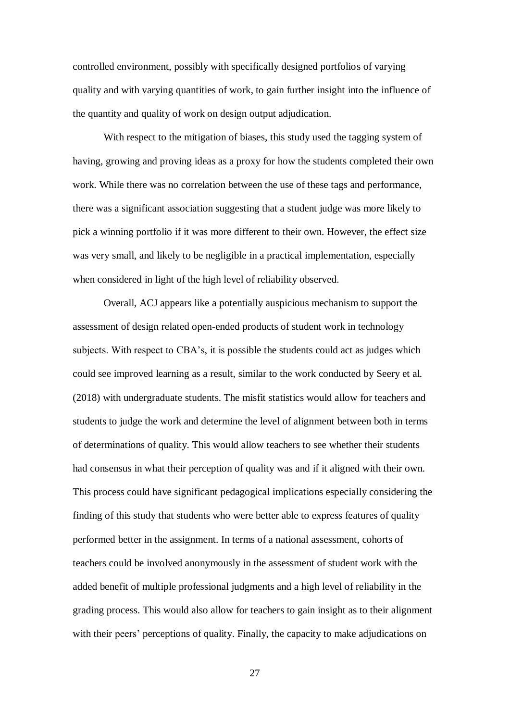controlled environment, possibly with specifically designed portfolios of varying quality and with varying quantities of work, to gain further insight into the influence of the quantity and quality of work on design output adjudication.

With respect to the mitigation of biases, this study used the tagging system of having, growing and proving ideas as a proxy for how the students completed their own work. While there was no correlation between the use of these tags and performance, there was a significant association suggesting that a student judge was more likely to pick a winning portfolio if it was more different to their own. However, the effect size was very small, and likely to be negligible in a practical implementation, especially when considered in light of the high level of reliability observed.

Overall, ACJ appears like a potentially auspicious mechanism to support the assessment of design related open-ended products of student work in technology subjects. With respect to CBA's, it is possible the students could act as judges which could see improved learning as a result, similar to the work conducted by Seery et al. (2018) with undergraduate students. The misfit statistics would allow for teachers and students to judge the work and determine the level of alignment between both in terms of determinations of quality. This would allow teachers to see whether their students had consensus in what their perception of quality was and if it aligned with their own. This process could have significant pedagogical implications especially considering the finding of this study that students who were better able to express features of quality performed better in the assignment. In terms of a national assessment, cohorts of teachers could be involved anonymously in the assessment of student work with the added benefit of multiple professional judgments and a high level of reliability in the grading process. This would also allow for teachers to gain insight as to their alignment with their peers' perceptions of quality. Finally, the capacity to make adjudications on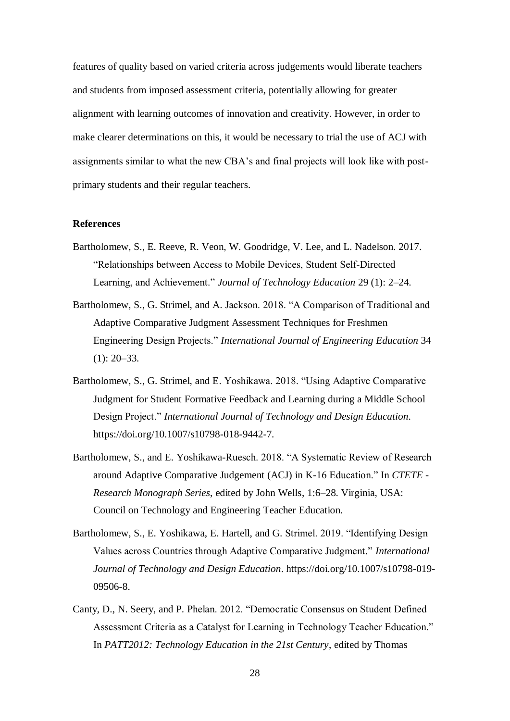features of quality based on varied criteria across judgements would liberate teachers and students from imposed assessment criteria, potentially allowing for greater alignment with learning outcomes of innovation and creativity. However, in order to make clearer determinations on this, it would be necessary to trial the use of ACJ with assignments similar to what the new CBA's and final projects will look like with postprimary students and their regular teachers.

#### **References**

- Bartholomew, S., E. Reeve, R. Veon, W. Goodridge, V. Lee, and L. Nadelson. 2017. "Relationships between Access to Mobile Devices, Student Self-Directed Learning, and Achievement." *Journal of Technology Education* 29 (1): 2–24.
- Bartholomew, S., G. Strimel, and A. Jackson. 2018. "A Comparison of Traditional and Adaptive Comparative Judgment Assessment Techniques for Freshmen Engineering Design Projects." *International Journal of Engineering Education* 34  $(1)$ : 20–33.
- Bartholomew, S., G. Strimel, and E. Yoshikawa. 2018. "Using Adaptive Comparative Judgment for Student Formative Feedback and Learning during a Middle School Design Project." *International Journal of Technology and Design Education*. https://doi.org/10.1007/s10798-018-9442-7.
- Bartholomew, S., and E. Yoshikawa-Ruesch. 2018. "A Systematic Review of Research around Adaptive Comparative Judgement (ACJ) in K-16 Education." In *CTETE - Research Monograph Series*, edited by John Wells, 1:6–28. Virginia, USA: Council on Technology and Engineering Teacher Education.
- Bartholomew, S., E. Yoshikawa, E. Hartell, and G. Strimel. 2019. "Identifying Design Values across Countries through Adaptive Comparative Judgment." *International Journal of Technology and Design Education*. https://doi.org/10.1007/s10798-019- 09506-8.
- Canty, D., N. Seery, and P. Phelan. 2012. "Democratic Consensus on Student Defined Assessment Criteria as a Catalyst for Learning in Technology Teacher Education." In *PATT2012: Technology Education in the 21st Century*, edited by Thomas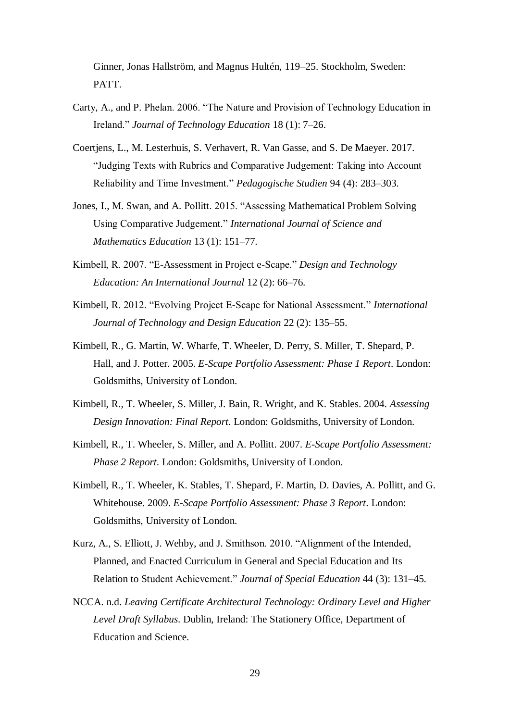Ginner, Jonas Hallström, and Magnus Hultén, 119–25. Stockholm, Sweden: PATT.

- Carty, A., and P. Phelan. 2006. "The Nature and Provision of Technology Education in Ireland." *Journal of Technology Education* 18 (1): 7–26.
- Coertiens, L., M. Lesterhuis, S. Verhavert, R. Van Gasse, and S. De Maeyer. 2017. "Judging Texts with Rubrics and Comparative Judgement: Taking into Account Reliability and Time Investment." *Pedagogische Studien* 94 (4): 283–303.
- Jones, I., M. Swan, and A. Pollitt. 2015. "Assessing Mathematical Problem Solving Using Comparative Judgement." *International Journal of Science and Mathematics Education* 13 (1): 151–77.
- Kimbell, R. 2007. "E-Assessment in Project e-Scape." *Design and Technology Education: An International Journal* 12 (2): 66–76.
- Kimbell, R. 2012. "Evolving Project E-Scape for National Assessment." *International Journal of Technology and Design Education* 22 (2): 135–55.
- Kimbell, R., G. Martin, W. Wharfe, T. Wheeler, D. Perry, S. Miller, T. Shepard, P. Hall, and J. Potter. 2005. *E-Scape Portfolio Assessment: Phase 1 Report*. London: Goldsmiths, University of London.
- Kimbell, R., T. Wheeler, S. Miller, J. Bain, R. Wright, and K. Stables. 2004. *Assessing Design Innovation: Final Report*. London: Goldsmiths, University of London.
- Kimbell, R., T. Wheeler, S. Miller, and A. Pollitt. 2007. *E-Scape Portfolio Assessment: Phase 2 Report*. London: Goldsmiths, University of London.
- Kimbell, R., T. Wheeler, K. Stables, T. Shepard, F. Martin, D. Davies, A. Pollitt, and G. Whitehouse. 2009. *E-Scape Portfolio Assessment: Phase 3 Report*. London: Goldsmiths, University of London.
- Kurz, A., S. Elliott, J. Wehby, and J. Smithson. 2010. "Alignment of the Intended, Planned, and Enacted Curriculum in General and Special Education and Its Relation to Student Achievement." *Journal of Special Education* 44 (3): 131–45.
- NCCA. n.d. *Leaving Certificate Architectural Technology: Ordinary Level and Higher Level Draft Syllabus*. Dublin, Ireland: The Stationery Office, Department of Education and Science.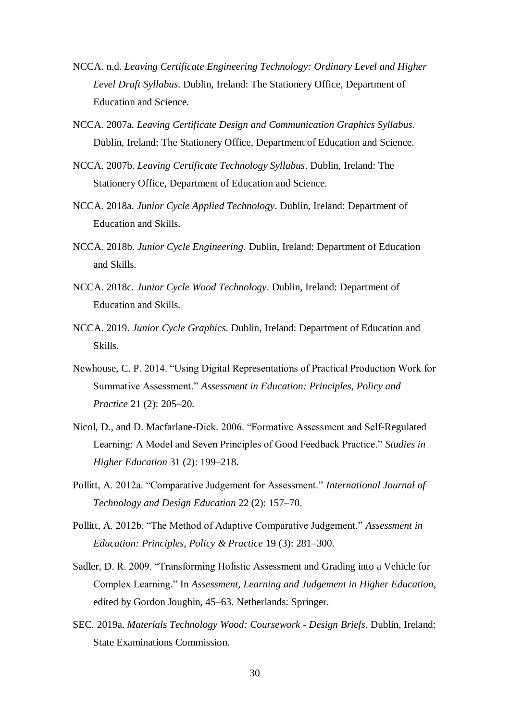- NCCA. n.d. *Leaving Certificate Engineering Technology: Ordinary Level and Higher Level Draft Syllabus*. Dublin, Ireland: The Stationery Office, Department of Education and Science.
- NCCA. 2007a. *Leaving Certificate Design and Communication Graphics Syllabus*. Dublin, Ireland: The Stationery Office, Department of Education and Science.
- NCCA. 2007b. *Leaving Certificate Technology Syllabus*. Dublin, Ireland: The Stationery Office, Department of Education and Science.
- NCCA. 2018a. *Junior Cycle Applied Technology*. Dublin, Ireland: Department of Education and Skills.
- NCCA. 2018b. *Junior Cycle Engineering*. Dublin, Ireland: Department of Education and Skills.
- NCCA. 2018c. *Junior Cycle Wood Technology*. Dublin, Ireland: Department of Education and Skills.
- NCCA. 2019. *Junior Cycle Graphics*. Dublin, Ireland: Department of Education and Skills.
- Newhouse, C. P. 2014. "Using Digital Representations of Practical Production Work for Summative Assessment." *Assessment in Education: Principles, Policy and Practice* 21 (2): 205–20.
- Nicol, D., and D. Macfarlane-Dick. 2006. "Formative Assessment and Self-Regulated Learning: A Model and Seven Principles of Good Feedback Practice." *Studies in Higher Education* 31 (2): 199–218.
- Pollitt, A. 2012a. "Comparative Judgement for Assessment." *International Journal of Technology and Design Education* 22 (2): 157–70.
- Pollitt, A. 2012b. "The Method of Adaptive Comparative Judgement." *Assessment in Education: Principles, Policy & Practice* 19 (3): 281–300.
- Sadler, D. R. 2009. "Transforming Holistic Assessment and Grading into a Vehicle for Complex Learning." In *Assessment, Learning and Judgement in Higher Education*, edited by Gordon Joughin, 45–63. Netherlands: Springer.
- SEC. 2019a. *Materials Technology Wood: Coursework - Design Briefs*. Dublin, Ireland: State Examinations Commission.